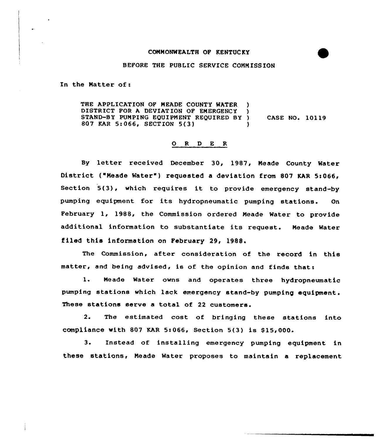## COMMONWEALTH OF KENTUC KY

## BEFORE THE PUBLIC SERVICE CONN ISSION

In the Matter of:

THE APPLICATION OP MEADE COUNTY WATER ) DISTRICT FOR A DEVIATION OF EMERGENCY STAND-BY PUMPING EQUIPMENT REQUIRED BY ) CASE NO. 10119<br>807 KAR 5:066. SECTION 5(3) 807 KAR 5:066, SECTION 5(3) )

## O R D E R

By letter received December 30, 1987, Meade County Water District ("Meade Water") requested a deviation from 807 KAR 5:066, Section 5(3), which requires it to provide emergency stand-by pumping equipment. for its hydropneumatic pumping stations. On Pebruary 1, 1988, the Commission ordered Meade Water to provide additional information to substantiate its request. Meade Water filed this information on February 29, 1988.

The Commission, after consideration of the record in this matter, and being advised, is of the opinion and finds thats

1. Meade Water owns and operates three hydropneumatic pumping stations which lack emergency stand-by pumping equipment. These stations serve a total of 22 customers.

2. The estimated cost of bringing these stations into compliance with 807 KAR 5:066, Section 5(3) is \$15,000.

3. Instead of installing emergency pumping equipment in these stations< Meade Water proposes to maintain a replacement